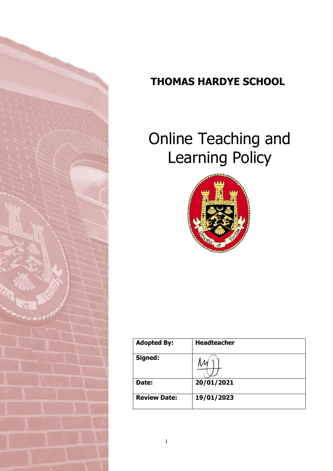

# **THOMAS HARDYE SCHOOL**

# Online Teaching and Learning Policy



| <b>Adopted By:</b>  | <b>Headteacher</b> |
|---------------------|--------------------|
| Signed:             |                    |
| Date:               | 20/01/2021         |
| <b>Review Date:</b> | 19/01/2023         |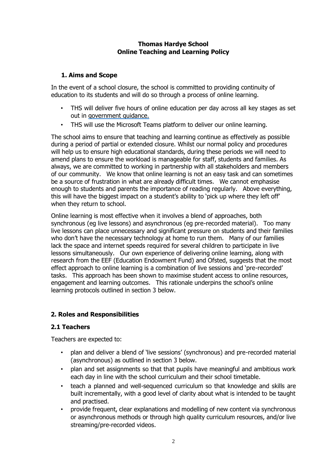#### **Thomas Hardye School Online Teaching and Learning Policy**

#### **1. Aims and Scope**

In the event of a school closure, the school is committed to providing continuity of education to its students and will do so through a process of online learning.

- THS will deliver five hours of online education per day across all key stages as set out in [government guidance.](https://assets.publishing.service.gov.uk/government/uploads/system/uploads/attachment_data/file/950510/School_national_restrictions_guidance.pdf)
- THS will use the Microsoft Teams platform to deliver our online learning.

The school aims to ensure that teaching and learning continue as effectively as possible during a period of partial or extended closure. Whilst our normal policy and procedures will help us to ensure high educational standards, during these periods we will need to amend plans to ensure the workload is manageable for staff, students and families. As always, we are committed to working in partnership with all stakeholders and members of our community. We know that online learning is not an easy task and can sometimes be a source of frustration in what are already difficult times. We cannot emphasise enough to students and parents the importance of reading regularly. Above everything, this will have the biggest impact on a student's ability to 'pick up where they left off' when they return to school.

Online learning is most effective when it involves a blend of approaches, both synchronous (eg live lessons) and asynchronous (eg pre-recorded material). Too many live lessons can place unnecessary and significant pressure on students and their families who don't have the necessary technology at home to run them. Many of our families lack the space and internet speeds required for several children to participate in live lessons simultaneously. Our own experience of delivering online learning, along with research from the EEF (Education Endowment Fund) and Ofsted, suggests that the most effect approach to online learning is a combination of live sessions and 'pre-recorded' tasks. This approach has been shown to maximise student access to online resources, engagement and learning outcomes. This rationale underpins the school's online learning protocols outlined in section 3 below.

#### **2. Roles and Responsibilities**

#### **2.1 Teachers**

Teachers are expected to:

- plan and deliver a blend of 'live sessions' (synchronous) and pre-recorded material (asynchronous) as outlined in section 3 below.
- plan and set assignments so that that pupils have meaningful and ambitious work each day in line with the school curriculum and their school timetable.
- teach a planned and well-sequenced curriculum so that knowledge and skills are built incrementally, with a good level of clarity about what is intended to be taught and practised.
- provide frequent, clear explanations and modelling of new content via synchronous or asynchronous methods or through high quality curriculum resources, and/or live streaming/pre-recorded videos.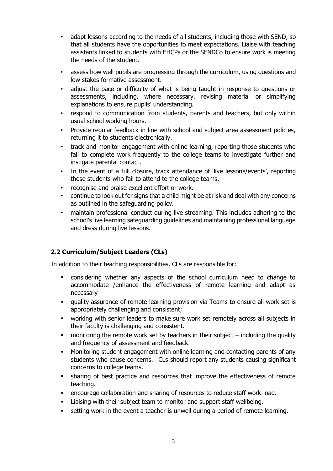- adapt lessons according to the needs of all students, including those with SEND, so that all students have the opportunities to meet expectations. Liaise with teaching assistants linked to students with EHCPs or the SENDCo to ensure work is meeting the needs of the student.
- assess how well pupils are progressing through the curriculum, using questions and low stakes formative assessment.
- adjust the pace or difficulty of what is being taught in response to questions or assessments, including, where necessary, revising material or simplifying explanations to ensure pupils' understanding.
- respond to communication from students, parents and teachers, but only within usual school working hours.
- Provide regular feedback in line with school and subject area assessment policies, returning it to students electronically.
- track and monitor engagement with online learning, reporting those students who fail to complete work frequently to the college teams to investigate further and instigate parental contact.
- In the event of a full closure, track attendance of 'live lessons/events', reporting those students who fail to attend to the college teams.
- recognise and praise excellent effort or work.
- continue to look out for signs that a child might be at risk and deal with any concerns as outlined in the safeguarding policy.
- maintain professional conduct during live streaming. This includes adhering to the school's live learning safeguarding guidelines and maintaining professional language and dress during live lessons.

#### **2.2 Curriculum/Subject Leaders (CLs)**

In addition to their teaching responsibilities, CLs are responsible for:

- considering whether any aspects of the school curriculum need to change to accommodate /enhance the effectiveness of remote learning and adapt as necessary
- quality assurance of remote learning provision via Teams to ensure all work set is appropriately challenging and consistent;
- working with senior leaders to make sure work set remotely across all subjects in their faculty is challenging and consistent.
- $\blacksquare$  monitoring the remote work set by teachers in their subject including the quality and frequency of assessment and feedback.
- Monitoring student engagement with online learning and contacting parents of any students who cause concerns. CLs should report any students causing significant concerns to college teams.
- sharing of best practice and resources that improve the effectiveness of remote teaching.
- encourage collaboration and sharing of resources to reduce staff work-load.
- Liaising with their subject team to monitor and support staff wellbeing.
- setting work in the event a teacher is unwell during a period of remote learning.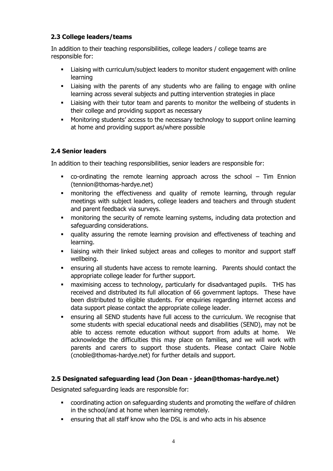#### **2.3 College leaders/teams**

In addition to their teaching responsibilities, college leaders / college teams are responsible for:

- Liaising with curriculum/subject leaders to monitor student engagement with online learning
- Liaising with the parents of any students who are failing to engage with online learning across several subjects and putting intervention strategies in place
- Liaising with their tutor team and parents to monitor the wellbeing of students in their college and providing support as necessary
- Monitoring students' access to the necessary technology to support online learning at home and providing support as/where possible

#### **2.4 Senior leaders**

In addition to their teaching responsibilities, senior leaders are responsible for:

- co-ordinating the remote learning approach across the school Tim Ennion (tennion@thomas-hardye.net)
- monitoring the effectiveness and quality of remote learning, through regular meetings with subject leaders, college leaders and teachers and through student and parent feedback via surveys.
- monitoring the security of remote learning systems, including data protection and safeguarding considerations.
- quality assuring the remote learning provision and effectiveness of teaching and learning.
- liaising with their linked subject areas and colleges to monitor and support staff wellbeing.
- ensuring all students have access to remote learning. Parents should contact the appropriate college leader for further support.
- maximising access to technology, particularly for disadvantaged pupils. THS has received and distributed its full allocation of 66 government laptops. These have been distributed to eligible students. For enquiries regarding internet access and data support please contact the appropriate college leader.
- ensuring all SEND students have full access to the curriculum. We recognise that some students with special educational needs and disabilities (SEND), may not be able to access remote education without support from adults at home. We acknowledge the difficulties this may place on families, and we will work with parents and carers to support those students. Please contact Claire Noble (cnoble@thomas-hardye.net) for further details and support.

#### **2.5 Designated safeguarding lead (Jon Dean - jdean@thomas-hardye.net)**

Designated safeguarding leads are responsible for:

- coordinating action on safeguarding students and promoting the welfare of children in the school/and at home when learning remotely.
- ensuring that all staff know who the DSL is and who acts in his absence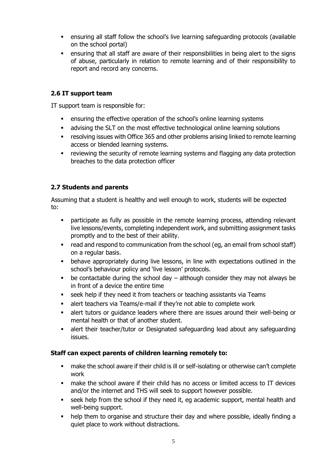- ensuring all staff follow the school's live learning safeguarding protocols (available on the school portal)
- ensuring that all staff are aware of their responsibilities in being alert to the signs of abuse, particularly in relation to remote learning and of their responsibility to report and record any concerns.

#### **2.6 IT support team**

IT support team is responsible for:

- ensuring the effective operation of the school's online learning systems
- advising the SLT on the most effective technological online learning solutions
- **•** resolving issues with Office 365 and other problems arising linked to remote learning access or blended learning systems.
- reviewing the security of remote learning systems and flagging any data protection breaches to the data protection officer

#### **2.7 Students and parents**

Assuming that a student is healthy and well enough to work, students will be expected to:

- participate as fully as possible in the remote learning process, attending relevant live lessons/events, completing independent work, and submitting assignment tasks promptly and to the best of their ability.
- read and respond to communication from the school (eg, an email from school staff) on a regular basis.
- behave appropriately during live lessons, in line with expectations outlined in the school's behaviour policy and 'live lesson' protocols.
- be contactable during the school day although consider they may not always be in front of a device the entire time
- seek help if they need it from teachers or teaching assistants via Teams
- alert teachers via Teams/e-mail if they're not able to complete work
- alert tutors or guidance leaders where there are issues around their well-being or mental health or that of another student.
- alert their teacher/tutor or Designated safeguarding lead about any safeguarding issues.

#### **Staff can expect parents of children learning remotely to:**

- make the school aware if their child is ill or self-isolating or otherwise can't complete work
- make the school aware if their child has no access or limited access to IT devices and/or the internet and THS will seek to support however possible.
- seek help from the school if they need it, eg academic support, mental health and well-being support.
- help them to organise and structure their day and where possible, ideally finding a quiet place to work without distractions.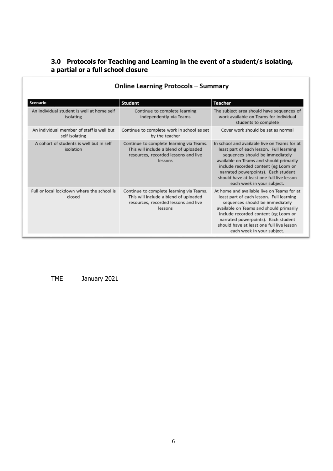### **3.0 Protocols for Teaching and Learning in the event of a student/s isolating, a partial or a full school closure**

| <b>Scenario</b>                                             | <b>Student</b>                                                                                                                       | <b>Teacher</b>                                                                                                                                                                                                                                                                                                                   |
|-------------------------------------------------------------|--------------------------------------------------------------------------------------------------------------------------------------|----------------------------------------------------------------------------------------------------------------------------------------------------------------------------------------------------------------------------------------------------------------------------------------------------------------------------------|
| An individual student is well at home self<br>isolating     | Continue to complete learning<br>independently via Teams                                                                             | The subject area should have sequences of<br>work available on Teams for individual<br>students to complete                                                                                                                                                                                                                      |
| An individual member of staff is well but<br>self isolating | Continue to complete work in school as set<br>by the teacher                                                                         | Cover work should be set as normal                                                                                                                                                                                                                                                                                               |
| A cohort of students is well but in self<br>isolation       | Continue to complete learning via Teams.<br>This will include a blend of uploaded<br>resources, recorded lessons and live<br>lessons | In school and available live on Teams for at<br>least part of each lesson. Full learning<br>sequences should be immediately<br>available on Teams and should primarily<br>include recorded content (eg Loom or<br>narrated powerpoints). Each student<br>should have at least one full live lesson<br>each week in your subject. |
| Full or local lockdown where the school is<br>closed        | Continue to complete learning via Teams.<br>This will include a blend of uploaded<br>resources, recorded lessons and live<br>lessons | At home and available live on Teams for at<br>least part of each lesson. Full learning<br>sequences should be immediately<br>available on Teams and should primarily<br>include recorded content (eg Loom or<br>narrated powerpoints). Each student<br>should have at least one full live lesson<br>each week in your subject.   |

## **Online Learning Protocols - Summary**

TME January 2021